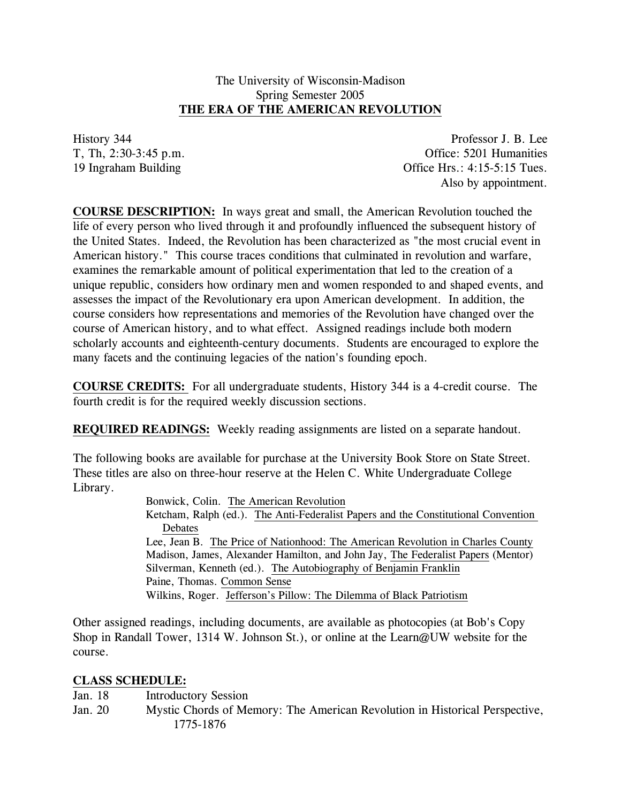## The University of Wisconsin-Madison Spring Semester 2005 **THE ERA OF THE AMERICAN REVOLUTION**

History 344 Professor J. B. Lee T, Th, 2:30-3:45 p.m. Office: 5201 Humanities 19 Ingraham Building Office Hrs.: 4:15-5:15 Tues. Also by appointment.

**COURSE DESCRIPTION:** In ways great and small, the American Revolution touched the life of every person who lived through it and profoundly influenced the subsequent history of the United States. Indeed, the Revolution has been characterized as "the most crucial event in American history." This course traces conditions that culminated in revolution and warfare, examines the remarkable amount of political experimentation that led to the creation of a unique republic, considers how ordinary men and women responded to and shaped events, and assesses the impact of the Revolutionary era upon American development. In addition, the course considers how representations and memories of the Revolution have changed over the course of American history, and to what effect. Assigned readings include both modern scholarly accounts and eighteenth-century documents. Students are encouraged to explore the many facets and the continuing legacies of the nation's founding epoch.

**COURSE CREDITS:** For all undergraduate students, History 344 is a 4-credit course. The fourth credit is for the required weekly discussion sections.

**REQUIRED READINGS:** Weekly reading assignments are listed on a separate handout.

The following books are available for purchase at the University Book Store on State Street. These titles are also on three-hour reserve at the Helen C. White Undergraduate College Library.

> Bonwick, Colin. The American Revolution Ketcham, Ralph (ed.). The Anti-Federalist Papers and the Constitutional Convention Debates Lee, Jean B. The Price of Nationhood: The American Revolution in Charles County Madison, James, Alexander Hamilton, and John Jay, The Federalist Papers (Mentor) Silverman, Kenneth (ed.). The Autobiography of Benjamin Franklin Paine, Thomas. Common Sense Wilkins, Roger. Jefferson's Pillow: The Dilemma of Black Patriotism

Other assigned readings, including documents, are available as photocopies (at Bob's Copy Shop in Randall Tower, 1314 W. Johnson St.), or online at the Learn@UW website for the course.

## **CLASS SCHEDULE:**

Jan. 18 Introductory Session

Jan. 20 Mystic Chords of Memory: The American Revolution in Historical Perspective, 1775-1876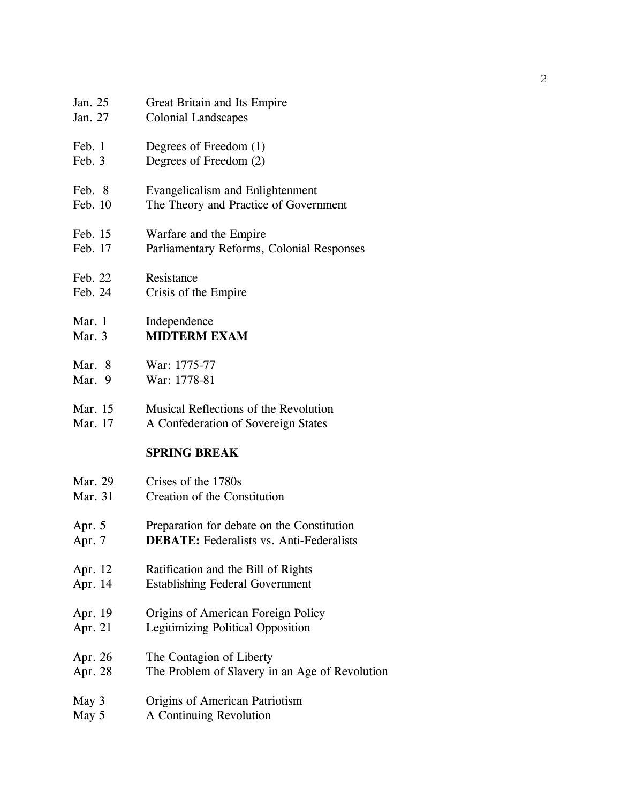| Jan. 25            | Great Britain and Its Empire                                                 |  |
|--------------------|------------------------------------------------------------------------------|--|
| Jan. 27            | <b>Colonial Landscapes</b>                                                   |  |
| Feb. 1             | Degrees of Freedom (1)                                                       |  |
| Feb. 3             | Degrees of Freedom (2)                                                       |  |
| Feb. 8             | Evangelicalism and Enlightenment                                             |  |
| Feb. 10            | The Theory and Practice of Government                                        |  |
| Feb. 15            | Warfare and the Empire                                                       |  |
| Feb. 17            | Parliamentary Reforms, Colonial Responses                                    |  |
| Feb. 22            | Resistance                                                                   |  |
| Feb. 24            | Crisis of the Empire                                                         |  |
| Mar. 1             | Independence                                                                 |  |
| Mar. 3             | <b>MIDTERM EXAM</b>                                                          |  |
| Mar. 8             | War: 1775-77                                                                 |  |
| Mar. 9             | War: 1778-81                                                                 |  |
|                    | Musical Reflections of the Revolution<br>A Confederation of Sovereign States |  |
| Mar. 15<br>Mar. 17 |                                                                              |  |
|                    | <b>SPRING BREAK</b>                                                          |  |
| Mar. 29            | Crises of the 1780s                                                          |  |
| Mar. 31            | Creation of the Constitution                                                 |  |
| Apr. $5$           | Preparation for debate on the Constitution                                   |  |
| Apr. 7             | <b>DEBATE:</b> Federalists vs. Anti-Federalists                              |  |
| Apr. 12            | Ratification and the Bill of Rights                                          |  |
| Apr. 14            | <b>Establishing Federal Government</b>                                       |  |
| Apr. 19            | Origins of American Foreign Policy                                           |  |
| Apr. 21            | <b>Legitimizing Political Opposition</b>                                     |  |
| Apr. 26            | The Contagion of Liberty                                                     |  |
| Apr. 28            | The Problem of Slavery in an Age of Revolution                               |  |